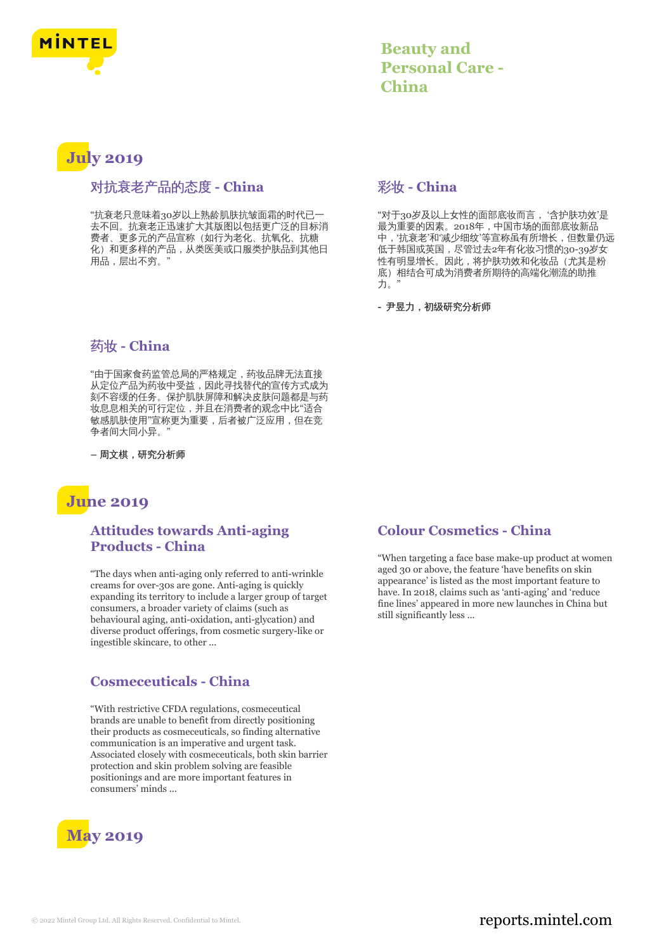

## **Beauty and Personal Care - China**

## **July 2019**

#### 对抗衰老产品的态度 **- China**

"抗衰老只意味着30岁以上熟龄肌肤抗皱面霜的时代已一 去不回。抗衰老正迅速扩大其版图以包括更广泛的目标消 费者、更多元的产品宣称(如行为老化、抗氧化、抗糖 化)和更多样的产品,从类医美或口服类护肤品到其他日 用品,层出不穷。"

#### 彩妆 **- China**

"对于30岁及以上女性的面部底妆而言, '含护肤功效'是 最为重要的因素。2018年,中国市场的面部底妆新品 中,'抗衰老'和'减少细纹'等宣称虽有所增长,但数量仍远 低于韩国或英国,尽管过去2年有化妆习惯的30-39岁女 性有明显增长。因此,将护肤功效和化妆品(尤其是粉 底)相结合可成为消费者所期待的高端化潮流的助推 力。"

**-** 尹昱力,初级研究分析师

#### 药妆 **- China**

"由于国家食药监管总局的严格规定,药妆品牌无法直接 从定位产品为药妆中受益,因此寻找替代的宣传方式成为 刻不容缓的任务。保护肌肤屏障和解决皮肤问题都是与药 妆息息相关的可行定位,并且在消费者的观念中比"适合 敏感肌肤使用"宣称更为重要,后者被广泛应用,但在竞 争者间大同小异。"

**–** 周文棋,研究分析师

### **June 2019**

#### **Attitudes towards Anti-aging Products - China**

"The days when anti-aging only referred to anti-wrinkle creams for over-30s are gone. Anti-aging is quickly expanding its territory to include a larger group of target consumers, a broader variety of claims (such as behavioural aging, anti-oxidation, anti-glycation) and diverse product offerings, from cosmetic surgery-like or ingestible skincare, to other ...

#### **Cosmeceuticals - China**

"With restrictive CFDA regulations, cosmeceutical brands are unable to benefit from directly positioning their products as cosmeceuticals, so finding alternative communication is an imperative and urgent task. Associated closely with cosmeceuticals, both skin barrier protection and skin problem solving are feasible positionings and are more important features in consumers' minds ...



#### **Colour Cosmetics - China**

"When targeting a face base make-up product at women aged 30 or above, the feature 'have benefits on skin appearance' is listed as the most important feature to have. In 2018, claims such as 'anti-aging' and 'reduce fine lines' appeared in more new launches in China but still significantly less ...